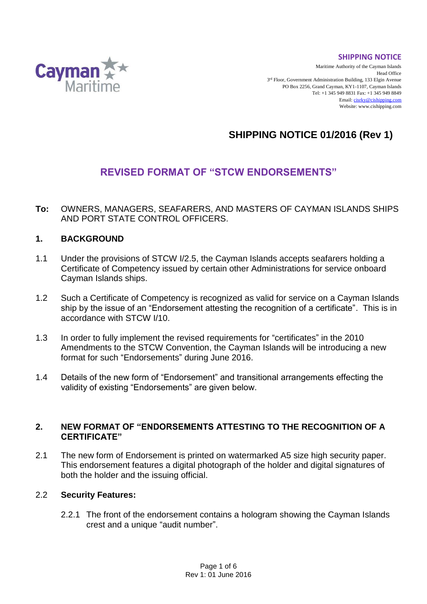**SHIPPING NOTICE**



Maritime Authority of the Cayman Islands Head Office 3<sup>rd</sup> Floor, Government Administration Building, 133 Elgin Avenue PO Box 2256, Grand Cayman, KY1-1107, Cayman Islands Tel: +1 345 949 8831 Fax: +1 345 949 8849 Email[: cisrky@cishipping.com](mailto:cisrky@cishipping.com) Website: www.cishipping.com

# **SHIPPING NOTICE 01/2016 (Rev 1)**

# **REVISED FORMAT OF "STCW ENDORSEMENTS"**

**To:** OWNERS, MANAGERS, SEAFARERS, AND MASTERS OF CAYMAN ISLANDS SHIPS AND PORT STATE CONTROL OFFICERS.

#### **1. BACKGROUND**

- 1.1 Under the provisions of STCW I/2.5, the Cayman Islands accepts seafarers holding a Certificate of Competency issued by certain other Administrations for service onboard Cayman Islands ships.
- 1.2 Such a Certificate of Competency is recognized as valid for service on a Cayman Islands ship by the issue of an "Endorsement attesting the recognition of a certificate". This is in accordance with STCW I/10.
- 1.3 In order to fully implement the revised requirements for "certificates" in the 2010 Amendments to the STCW Convention, the Cayman Islands will be introducing a new format for such "Endorsements" during June 2016.
- 1.4 Details of the new form of "Endorsement" and transitional arrangements effecting the validity of existing "Endorsements" are given below.

#### **2. NEW FORMAT OF "ENDORSEMENTS ATTESTING TO THE RECOGNITION OF A CERTIFICATE"**

2.1 The new form of Endorsement is printed on watermarked A5 size high security paper. This endorsement features a digital photograph of the holder and digital signatures of both the holder and the issuing official.

#### 2.2 **Security Features:**

2.2.1 The front of the endorsement contains a hologram showing the Cayman Islands crest and a unique "audit number".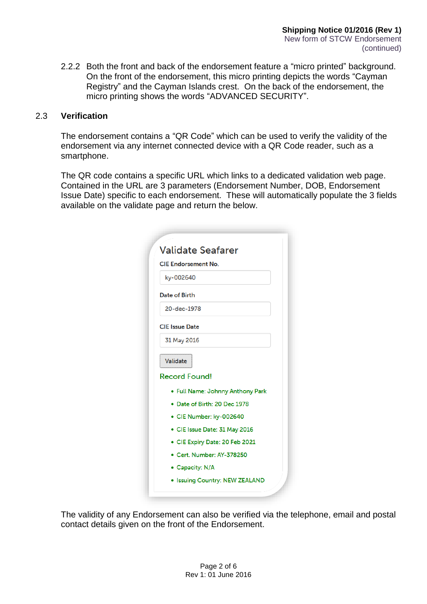2.2.2 Both the front and back of the endorsement feature a "micro printed" background. On the front of the endorsement, this micro printing depicts the words "Cayman Registry" and the Cayman Islands crest. On the back of the endorsement, the micro printing shows the words "ADVANCED SECURITY".

#### 2.3 **Verification**

The endorsement contains a "QR Code" which can be used to verify the validity of the endorsement via any internet connected device with a QR Code reader, such as a smartphone.

The QR code contains a specific URL which links to a dedicated validation web page. Contained in the URL are 3 parameters (Endorsement Number, DOB, Endorsement Issue Date) specific to each endorsement. These will automatically populate the 3 fields available on the validate page and return the below.

| <b>CIE Endorsement No.</b> |                                  |
|----------------------------|----------------------------------|
| ky-002640                  |                                  |
| <b>Date of Birth</b>       |                                  |
| 20-dec-1978                |                                  |
| <b>CIE</b> Issue Date      |                                  |
| 31 May 2016                |                                  |
| Validate                   |                                  |
| <b>Record Found!</b>       |                                  |
|                            | • Full Name: Johnny Anthony Park |
|                            | . Date of Birth: 20 Dec 1978     |
|                            | • CIE Number: ky-002640          |
|                            | • CIE Issue Date: 31 May 2016    |
|                            | • CIE Expiry Date: 20 Feb 2021   |
|                            | • Cert. Number: AY-378250        |
| • Capacity: N/A            |                                  |
|                            | • Issuing Country: NEW ZEALAND   |

The validity of any Endorsement can also be verified via the telephone, email and postal contact details given on the front of the Endorsement.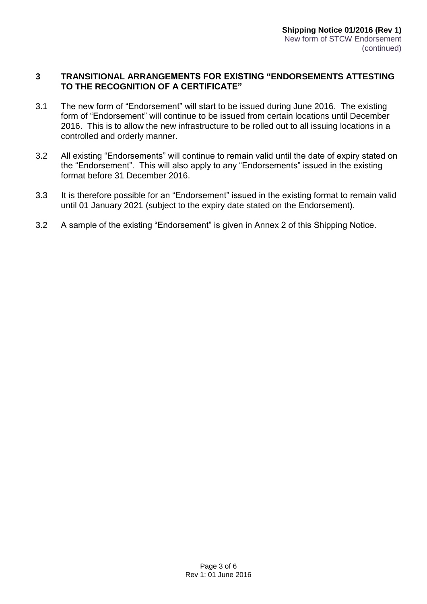#### **3 TRANSITIONAL ARRANGEMENTS FOR EXISTING "ENDORSEMENTS ATTESTING TO THE RECOGNITION OF A CERTIFICATE"**

- 3.1 The new form of "Endorsement" will start to be issued during June 2016. The existing form of "Endorsement" will continue to be issued from certain locations until December 2016. This is to allow the new infrastructure to be rolled out to all issuing locations in a controlled and orderly manner.
- 3.2 All existing "Endorsements" will continue to remain valid until the date of expiry stated on the "Endorsement". This will also apply to any "Endorsements" issued in the existing format before 31 December 2016.
- 3.3 It is therefore possible for an "Endorsement" issued in the existing format to remain valid until 01 January 2021 (subject to the expiry date stated on the Endorsement).
- 3.2 A sample of the existing "Endorsement" is given in Annex 2 of this Shipping Notice.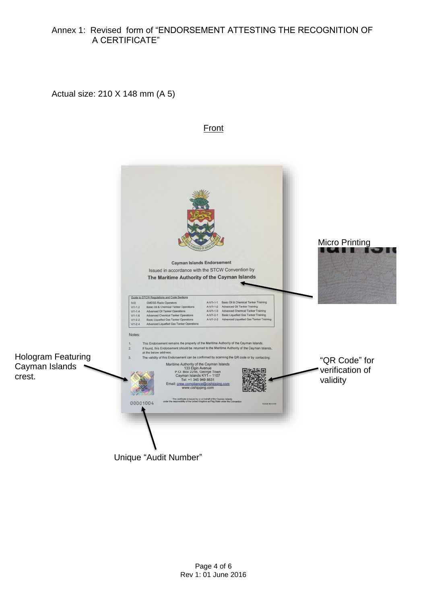#### Annex 1: Revised form of "ENDORSEMENT ATTESTING THE RECOGNITION OF A CERTIFICATE"

Actual size: 210 X 148 mm (A 5)

### Front



Unique "Audit Number"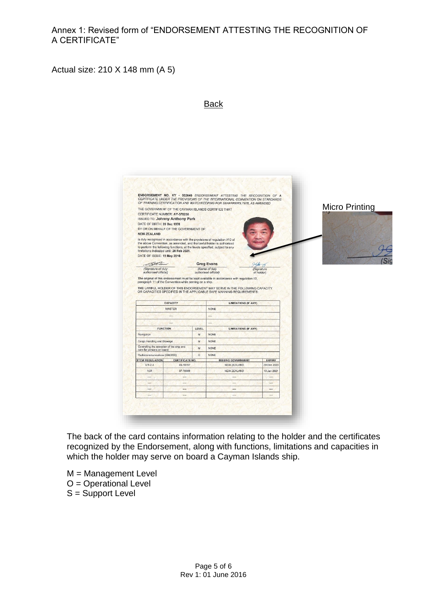Annex 1: Revised form of "ENDORSEMENT ATTESTING THE RECOGNITION OF A CERTIFICATE"

Actual size: 210 X 148 mm (A 5)



The back of the card contains information relating to the holder and the certificates recognized by the Endorsement, along with functions, limitations and capacities in which the holder may serve on board a Cayman Islands ship.

- M = Management Level O = Operational Level
- S = Support Level